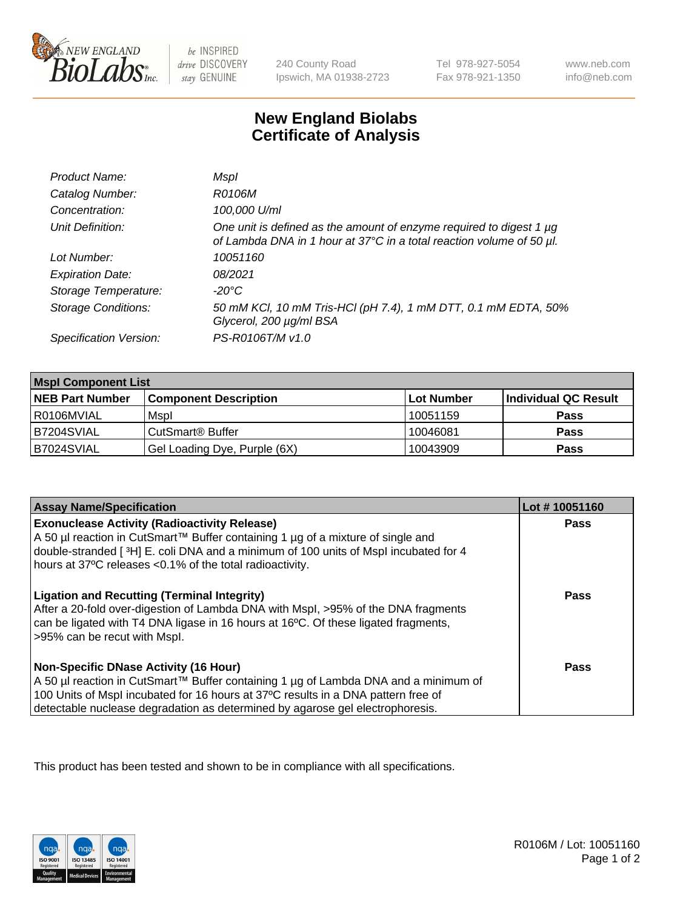

 $be$  INSPIRED drive DISCOVERY stay GENUINE

240 County Road Ipswich, MA 01938-2723 Tel 978-927-5054 Fax 978-921-1350

www.neb.com info@neb.com

## **New England Biolabs Certificate of Analysis**

| Product Name:              | Mspl                                                                                                                                             |
|----------------------------|--------------------------------------------------------------------------------------------------------------------------------------------------|
| Catalog Number:            | R0106M                                                                                                                                           |
| Concentration:             | 100,000 U/ml                                                                                                                                     |
| Unit Definition:           | One unit is defined as the amount of enzyme required to digest 1 $\mu$ g<br>of Lambda DNA in 1 hour at 37°C in a total reaction volume of 50 µl. |
| Lot Number:                | 10051160                                                                                                                                         |
| <b>Expiration Date:</b>    | 08/2021                                                                                                                                          |
| Storage Temperature:       | -20°C                                                                                                                                            |
| <b>Storage Conditions:</b> | 50 mM KCl, 10 mM Tris-HCl (pH 7.4), 1 mM DTT, 0.1 mM EDTA, 50%<br>Glycerol, 200 µg/ml BSA                                                        |
| Specification Version:     | PS-R0106T/M v1.0                                                                                                                                 |

| <b>Mspl Component List</b> |                              |            |                      |  |
|----------------------------|------------------------------|------------|----------------------|--|
| <b>NEB Part Number</b>     | <b>Component Description</b> | Lot Number | Individual QC Result |  |
| I R0106MVIAL               | Mspl                         | 10051159   | <b>Pass</b>          |  |
| B7204SVIAL                 | CutSmart <sup>®</sup> Buffer | 10046081   | <b>Pass</b>          |  |
| B7024SVIAL                 | Gel Loading Dye, Purple (6X) | 10043909   | <b>Pass</b>          |  |

| <b>Assay Name/Specification</b>                                                                                                                                                                                                                                                                             | Lot #10051160 |
|-------------------------------------------------------------------------------------------------------------------------------------------------------------------------------------------------------------------------------------------------------------------------------------------------------------|---------------|
| <b>Exonuclease Activity (Radioactivity Release)</b><br>  A 50 µl reaction in CutSmart™ Buffer containing 1 µg of a mixture of single and<br>double-stranded [3H] E. coli DNA and a minimum of 100 units of Mspl incubated for 4<br>hours at 37°C releases <0.1% of the total radioactivity.                 | Pass          |
| <b>Ligation and Recutting (Terminal Integrity)</b><br>After a 20-fold over-digestion of Lambda DNA with Mspl, >95% of the DNA fragments<br>can be ligated with T4 DNA ligase in 16 hours at 16 <sup>o</sup> C. Of these ligated fragments,<br>>95% can be recut with Mspl.                                  | Pass          |
| <b>Non-Specific DNase Activity (16 Hour)</b><br>  A 50 µl reaction in CutSmart™ Buffer containing 1 µg of Lambda DNA and a minimum of<br>100 Units of Mspl incubated for 16 hours at 37°C results in a DNA pattern free of<br>detectable nuclease degradation as determined by agarose gel electrophoresis. | Pass          |

This product has been tested and shown to be in compliance with all specifications.